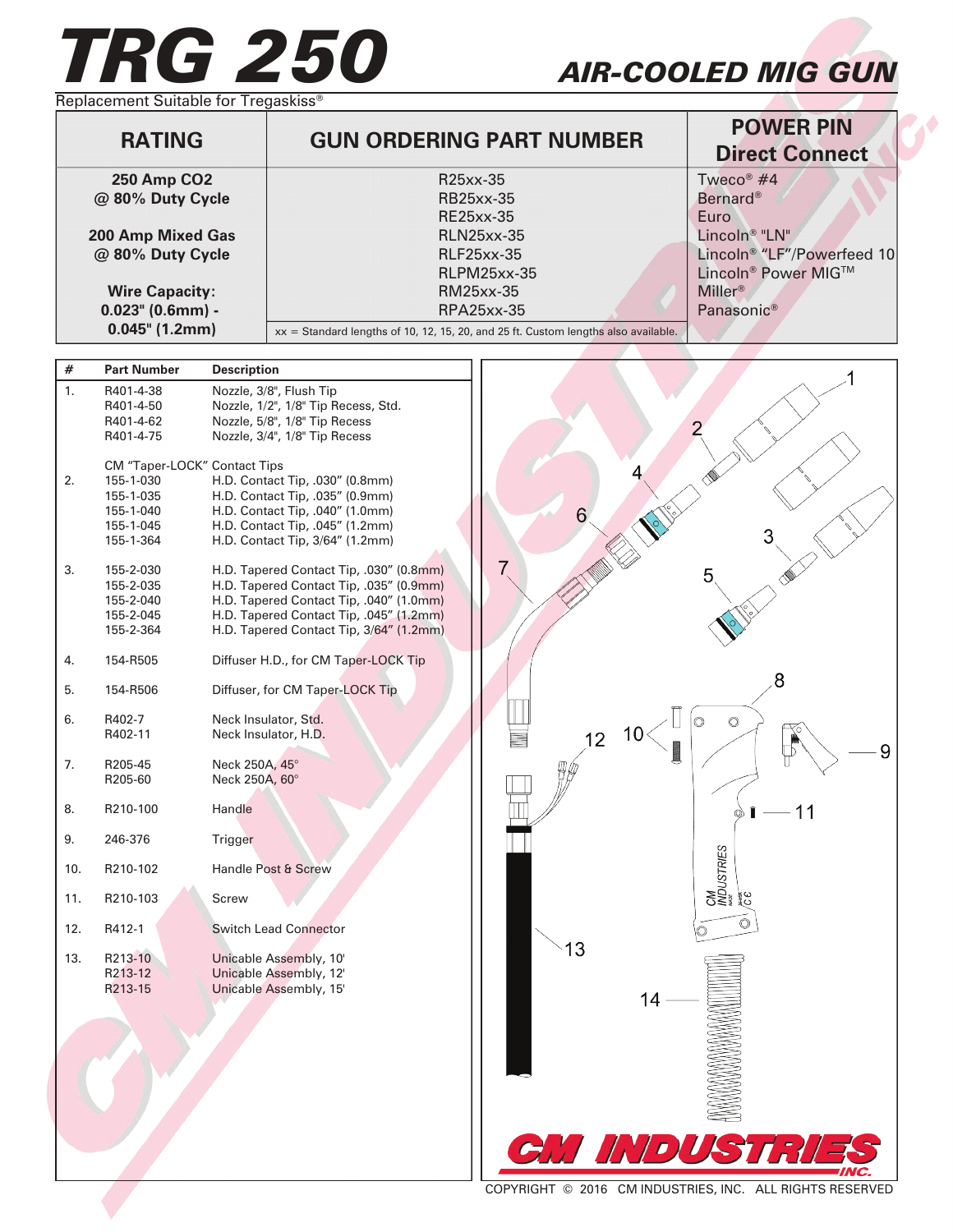## *TRG 250 AIR-COOLED MIG GUN*

Replacement Suitable for Tregaskiss<sup>®</sup>

| <b>RATING</b>         | <b>GUN ORDERING PART NUMBER</b>                                                      | <b>POWER PIN</b><br><b>Direct Connect</b> |
|-----------------------|--------------------------------------------------------------------------------------|-------------------------------------------|
| <b>250 Amp CO2</b>    | R25xx-35                                                                             | Tweco <sup>®</sup> $#4$                   |
| @ 80% Duty Cycle      | <b>RB25xx-35</b>                                                                     | <b>Bernard®</b>                           |
|                       | RE25xx-35                                                                            | Euro                                      |
| 200 Amp Mixed Gas     | <b>RLN25xx-35</b>                                                                    | Lincoln <sup>®</sup> "LN"                 |
| @ 80% Duty Cycle      | <b>RLF25xx-35</b>                                                                    | Lincoln <sup>®</sup> "LF"/Powerfeed 10    |
|                       | <b>RLPM25xx-35</b>                                                                   | Lincoln <sup>®</sup> Power MIG™           |
| <b>Wire Capacity:</b> | RM25xx-35                                                                            | Miller <sup>®</sup>                       |
| $0.023$ " (0.6mm) -   | RPA25xx-35                                                                           | Panasonic <sup>®</sup>                    |
| $0.045$ " (1.2mm)     | $xx =$ Standard lengths of 10, 12, 15, 20, and 25 ft. Custom lengths also available. |                                           |

## **# Part Number Description** 1. R401-4-38 Nozzle, 3/8", Flush Tip R401-4-50 Nozzle, 1/2", 1/8" Tip Recess, Std. R401-4-62 Nozzle, 5/8", 1/8" Tip Recess<br>R401-4-75 Nozzle, 3/4", 1/8" Tip Recess Nozzle, 3/4", 1/8" Tip Recess CM "Taper-LOCK" Contact Tips<br>2. 155-1-030 H.D. Contact H.D. Contact Tip, .030" (0.8mm) 155-1-035 H.D. Contact Tip, .035" (0.9mm) 155-1-040 H.D. Contact Tip, .040" (1.0mm) 6 155-1-045 H.D. Contact Tip, .045" (1.2mm)<br>155-1-364 H.D. Contact Tip, 3/64" (1.2mm) H.D. Contact Tip, 3/64" (1.2mm) 7 3. 155-2-030 H.D. Tapered Contact Tip, .030" (0.8mm) 5 155-2-035 H.D. Tapered Contact Tip, .035" (0.9mm) 155-2-040 H.D. Tapered Contact Tip, .040" (1.0mm) H.D. Tapered Contact Tip, .045" (1.2mm) 155-2-364 H.D. Tapered Contact Tip, 3/64" (1.2mm) 4. 154-R505 Diffuser H.D., for CM Taper-LOCK Tip 8 5. 154-R506 Diffuser, for CM Taper-LOCK Tip 6. R402-7 Neck Insulator, Std. Ō  $\circledcirc$ 10 R402-11 Neck Insulator, H.D.  $12$ 9 7. R205-45 Neck 250A, 45° R205-60 Neck 250A, 60° 8. R210-100 Handle  $11$ 9. 246-376 Trigger USTRIES 10. R210-102 Handle Post & Screw 11. R210-103 Screw Ò 12. R412-1 Switch Lead Connector  $13$ 13. R213-10 Unicable Assembly, 10'<br>R213-12 Unicable Assembly, 12' Unicable Assembly, 12' R213-15 Unicable Assembly, 15' 14

COPYRIGHT © 2016 CM INDUSTRIES, INC. ALL RIGHTS RESERVED